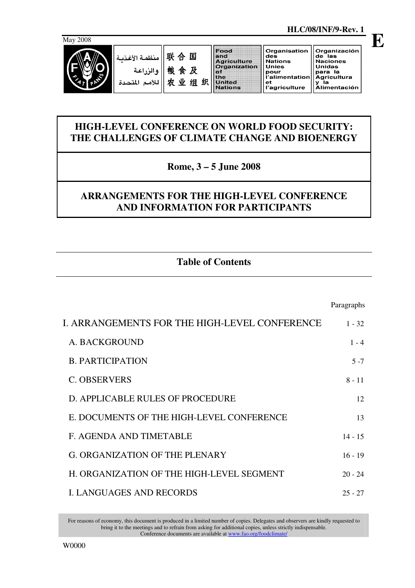

**E**

Food Organisation Organización and<br>Agriculture<br>Organization de las<br>Naciones<br>Unidas des<br>Nations منظمة الأغذر **Unies** organiz<br>of<br>United<br>Nations والزراعة omes<br>pour<br>l'alimentation para la<br>Agricultura<br>y la 农业组织 Agricultura<br>y la<br>Alimentación للأمم المتحدة  $_{\rm et}$ .<br>l'agriculture

## **HIGH-LEVEL CONFERENCE ON WORLD FOOD SECURITY: THE CHALLENGES OF CLIMATE CHANGE AND BIOENERGY**

**Rome, 3 – 5 June 2008** 

## **ARRANGEMENTS FOR THE HIGH-LEVEL CONFERENCE AND INFORMATION FOR PARTICIPANTS**

# **Table of Contents**

|                                               | Paragraphs |
|-----------------------------------------------|------------|
| I. ARRANGEMENTS FOR THE HIGH-LEVEL CONFERENCE | $1 - 32$   |
| A. BACKGROUND                                 | $1 - 4$    |
| <b>B. PARTICIPATION</b>                       | $5 - 7$    |
| <b>C. OBSERVERS</b>                           | $8 - 11$   |
| D. APPLICABLE RULES OF PROCEDURE              | 12         |
| E. DOCUMENTS OF THE HIGH-LEVEL CONFERENCE     | 13         |
| F. AGENDA AND TIMETABLE                       | $14 - 15$  |
| <b>G. ORGANIZATION OF THE PLENARY</b>         | $16 - 19$  |
| H. ORGANIZATION OF THE HIGH-LEVEL SEGMENT     | $20 - 24$  |
| <b>L. LANGUAGES AND RECORDS</b>               | $25 - 27$  |

For reasons of economy, this document is produced in a limited number of copies. Delegates and observers are kindly requested to bring it to the meetings and to refrain from asking for additional copies, unless strictly indispensable. Conference documents are available at www.fao.org/foodclimate/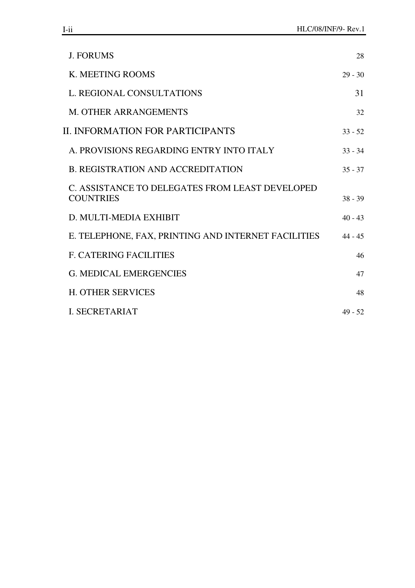| <b>J. FORUMS</b>                                                    | 28        |
|---------------------------------------------------------------------|-----------|
| K. MEETING ROOMS                                                    | $29 - 30$ |
| L. REGIONAL CONSULTATIONS                                           | 31        |
| <b>M. OTHER ARRANGEMENTS</b>                                        | 32        |
| II. INFORMATION FOR PARTICIPANTS                                    | $33 - 52$ |
| A. PROVISIONS REGARDING ENTRY INTO ITALY                            | $33 - 34$ |
| <b>B. REGISTRATION AND ACCREDITATION</b>                            | $35 - 37$ |
| C. ASSISTANCE TO DELEGATES FROM LEAST DEVELOPED<br><b>COUNTRIES</b> | $38 - 39$ |
| D. MULTI-MEDIA EXHIBIT                                              | $40 - 43$ |
| E. TELEPHONE, FAX, PRINTING AND INTERNET FACILITIES                 | $44 - 45$ |
| <b>F. CATERING FACILITIES</b>                                       | 46        |
| <b>G. MEDICAL EMERGENCIES</b>                                       | 47        |
| <b>H. OTHER SERVICES</b>                                            | 48        |
| <b>I. SECRETARIAT</b>                                               | $49 - 52$ |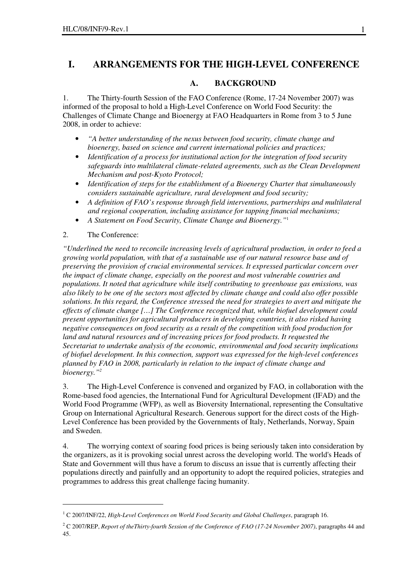## **I. ARRANGEMENTS FOR THE HIGH-LEVEL CONFERENCE**

#### **A. BACKGROUND**

1. The Thirty-fourth Session of the FAO Conference (Rome, 17-24 November 2007) was informed of the proposal to hold a High-Level Conference on World Food Security: the Challenges of Climate Change and Bioenergy at FAO Headquarters in Rome from 3 to 5 June 2008, in order to achieve:

- *"A better understanding of the nexus between food security, climate change and bioenergy, based on science and current international policies and practices;*
- *Identification of a process for institutional action for the integration of food security safeguards into multilateral climate-related agreements, such as the Clean Development Mechanism and post-Kyoto Protocol;*
- *Identification of steps for the establishment of a Bioenergy Charter that simultaneously considers sustainable agriculture, rural development and food security;*
- *A definition of FAO's response through field interventions, partnerships and multilateral and regional cooperation, including assistance for tapping financial mechanisms;*
- *A Statement on Food Security, Climate Change and Bioenergy."*<sup>1</sup>
- 2. The Conference:

 $\overline{a}$ 

*"Underlined the need to reconcile increasing levels of agricultural production, in order to feed a growing world population, with that of a sustainable use of our natural resource base and of preserving the provision of crucial environmental services. It expressed particular concern over the impact of climate change, especially on the poorest and most vulnerable countries and populations. It noted that agriculture while itself contributing to greenhouse gas emissions, was also likely to be one of the sectors most affected by climate change and could also offer possible solutions. In this regard, the Conference stressed the need for strategies to avert and mitigate the effects of climate change […] The Conference recognized that, while biofuel development could present opportunities for agricultural producers in developing countries, it also risked having negative consequences on food security as a result of the competition with food production for land and natural resources and of increasing prices for food products. It requested the Secretariat to undertake analysis of the economic, environmental and food security implications of biofuel development. In this connection, support was expressed for the high-level conferences planned by FAO in 2008, particularly in relation to the impact of climate change and bioenergy."<sup>2</sup>*

3. The High-Level Conference is convened and organized by FAO, in collaboration with the Rome-based food agencies, the International Fund for Agricultural Development (IFAD) and the World Food Programme (WFP), as well as Bioversity International, representing the Consultative Group on International Agricultural Research. Generous support for the direct costs of the High-Level Conference has been provided by the Governments of Italy, Netherlands, Norway, Spain and Sweden.

4. The worrying context of soaring food prices is being seriously taken into consideration by the organizers, as it is provoking social unrest across the developing world. The world's Heads of State and Government will thus have a forum to discuss an issue that is currently affecting their populations directly and painfully and an opportunity to adopt the required policies, strategies and programmes to address this great challenge facing humanity.

<sup>1</sup> C 2007/INF/22, *High-Level Conferences on World Food Security and Global Challenges*, paragraph 16.

<sup>2</sup> C 2007/REP, *Report of theThirty-fourth Session of the Conference of FAO (17-24 November 2007)*, paragraphs 44 and 45.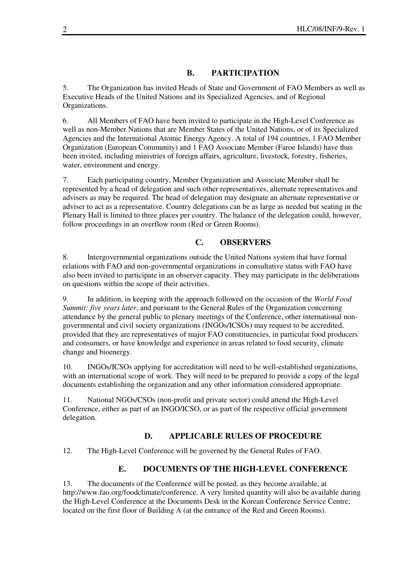## **B. PARTICIPATION**

5. The Organization has invited Heads of State and Government of FAO Members as well as Executive Heads of the United Nations and its Specialized Agencies, and of Regional Organizations.

6. All Members of FAO have been invited to participate in the High-Level Conference as well as non-Member Nations that are Member States of the United Nations, or of its Specialized Agencies and the International Atomic Energy Agency. A total of 194 countries, 1 FAO Member Organization (European Community) and 1 FAO Associate Member (Faroe Islands) have thus been invited, including ministries of foreign affairs, agriculture, livestock, forestry, fisheries, water, environment and energy.

7. Each participating country, Member Organization and Associate Member shall be represented by a head of delegation and such other representatives, alternate representatives and advisers as may be required. The head of delegation may designate an alternate representative or adviser to act as a representative. Country delegations can be as large as needed but seating in the Plenary Hall is limited to three places per country. The balance of the delegation could, however, follow proceedings in an overflow room (Red or Green Rooms).

## **C. OBSERVERS**

8. Intergovernmental organizations outside the United Nations system that have formal relations with FAO and non-governmental organizations in consultative status with FAO have also been invited to participate in an observer capacity. They may participate in the deliberations on questions within the scope of their activities.

9. In addition, in keeping with the approach followed on the occasion of the *World Food Summit: five years later*, and pursuant to the General Rules of the Organization concerning attendance by the general public to plenary meetings of the Conference, other international nongovernmental and civil society organizations (INGOs/ICSOs) may request to be accredited, provided that they are representatives of major FAO constituencies, in particular food producers and consumers, or have knowledge and experience in areas related to food security, climate change and bioenergy.

10. INGOs/ICSOs applying for accreditation will need to be well-established organizations, with an international scope of work. They will need to be prepared to provide a copy of the legal documents establishing the organization and any other information considered appropriate.

11. National NGOs/CSOs (non-profit and private sector) could attend the High-Level Conference, either as part of an INGO/ICSO, or as part of the respective official government delegation.

## **D. APPLICABLE RULES OF PROCEDURE**

12. The High-Level Conference will be governed by the General Rules of FAO.

## **E. DOCUMENTS OF THE HIGH-LEVEL CONFERENCE**

13. The documents of the Conference will be posted, as they become available, at http://www.fao.org/foodclimate/conference. A very limited quantity will also be available during the High-Level Conference at the Documents Desk in the Korean Conference Service Centre, located on the first floor of Building A (at the entrance of the Red and Green Rooms).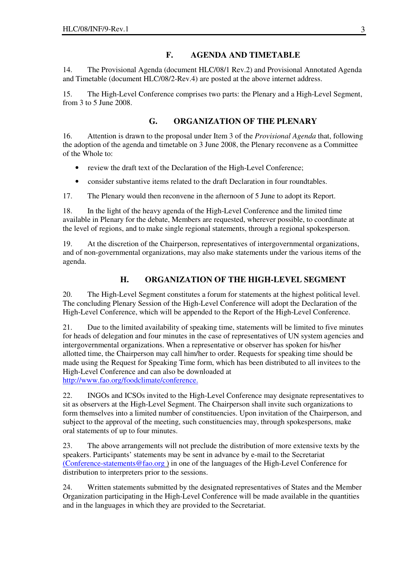## **F. AGENDA AND TIMETABLE**

14. The Provisional Agenda (document HLC/08/1 Rev.2) and Provisional Annotated Agenda and Timetable (document HLC/08/2-Rev.4) are posted at the above internet address.

15. The High-Level Conference comprises two parts: the Plenary and a High-Level Segment, from 3 to 5 June 2008.

## **G. ORGANIZATION OF THE PLENARY**

16. Attention is drawn to the proposal under Item 3 of the *Provisional Agenda* that, following the adoption of the agenda and timetable on 3 June 2008, the Plenary reconvene as a Committee of the Whole to:

- review the draft text of the Declaration of the High-Level Conference;
- consider substantive items related to the draft Declaration in four roundtables.

17. The Plenary would then reconvene in the afternoon of 5 June to adopt its Report.

18. In the light of the heavy agenda of the High-Level Conference and the limited time available in Plenary for the debate, Members are requested, wherever possible, to coordinate at the level of regions, and to make single regional statements, through a regional spokesperson.

19. At the discretion of the Chairperson, representatives of intergovernmental organizations, and of non-governmental organizations, may also make statements under the various items of the agenda.

## **H. ORGANIZATION OF THE HIGH-LEVEL SEGMENT**

20. The High-Level Segment constitutes a forum for statements at the highest political level. The concluding Plenary Session of the High-Level Conference will adopt the Declaration of the High-Level Conference, which will be appended to the Report of the High-Level Conference.

21. Due to the limited availability of speaking time, statements will be limited to five minutes for heads of delegation and four minutes in the case of representatives of UN system agencies and intergovernmental organizations. When a representative or observer has spoken for his/her allotted time, the Chairperson may call him/her to order. Requests for speaking time should be made using the Request for Speaking Time form, which has been distributed to all invitees to the High-Level Conference and can also be downloaded at http://www.fao.org/foodclimate/conference.

22. INGOs and ICSOs invited to the High-Level Conference may designate representatives to sit as observers at the High-Level Segment. The Chairperson shall invite such organizations to form themselves into a limited number of constituencies. Upon invitation of the Chairperson, and subject to the approval of the meeting, such constituencies may, through spokespersons, make oral statements of up to four minutes.

23. The above arrangements will not preclude the distribution of more extensive texts by the speakers. Participants' statements may be sent in advance by e-mail to the Secretariat (Conference-statements@fao.org ) in one of the languages of the High-Level Conference for distribution to interpreters prior to the sessions.

24. Written statements submitted by the designated representatives of States and the Member Organization participating in the High-Level Conference will be made available in the quantities and in the languages in which they are provided to the Secretariat.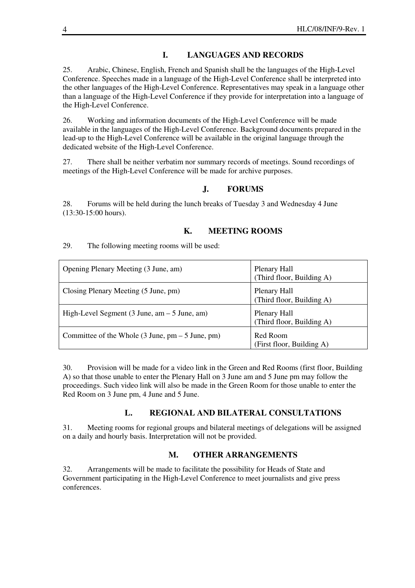#### **I. LANGUAGES AND RECORDS**

25. Arabic, Chinese, English, French and Spanish shall be the languages of the High-Level Conference. Speeches made in a language of the High-Level Conference shall be interpreted into the other languages of the High-Level Conference. Representatives may speak in a language other than a language of the High-Level Conference if they provide for interpretation into a language of the High-Level Conference.

26. Working and information documents of the High-Level Conference will be made available in the languages of the High-Level Conference. Background documents prepared in the lead-up to the High-Level Conference will be available in the original language through the dedicated website of the High-Level Conference.

27. There shall be neither verbatim nor summary records of meetings. Sound recordings of meetings of the High-Level Conference will be made for archive purposes.

### **J. FORUMS**

28. Forums will be held during the lunch breaks of Tuesday 3 and Wednesday 4 June (13:30-15:00 hours).

#### **K. MEETING ROOMS**

29. The following meeting rooms will be used:

| Opening Plenary Meeting (3 June, am)                                               | Plenary Hall<br>(Third floor, Building A) |
|------------------------------------------------------------------------------------|-------------------------------------------|
| Closing Plenary Meeting (5 June, pm)                                               | Plenary Hall<br>(Third floor, Building A) |
| High-Level Segment $(3 \text{ June}, \text{am} - 5 \text{ June}, \text{am})$       | Plenary Hall<br>(Third floor, Building A) |
| Committee of the Whole $(3 \text{ June}, \text{ pm} - 5 \text{ June}, \text{ pm})$ | Red Room<br>(First floor, Building A)     |

30. Provision will be made for a video link in the Green and Red Rooms (first floor, Building A) so that those unable to enter the Plenary Hall on 3 June am and 5 June pm may follow the proceedings. Such video link will also be made in the Green Room for those unable to enter the Red Room on 3 June pm, 4 June and 5 June.

#### **L. REGIONAL AND BILATERAL CONSULTATIONS**

31. Meeting rooms for regional groups and bilateral meetings of delegations will be assigned on a daily and hourly basis. Interpretation will not be provided.

#### **M. OTHER ARRANGEMENTS**

32. Arrangements will be made to facilitate the possibility for Heads of State and Government participating in the High-Level Conference to meet journalists and give press conferences.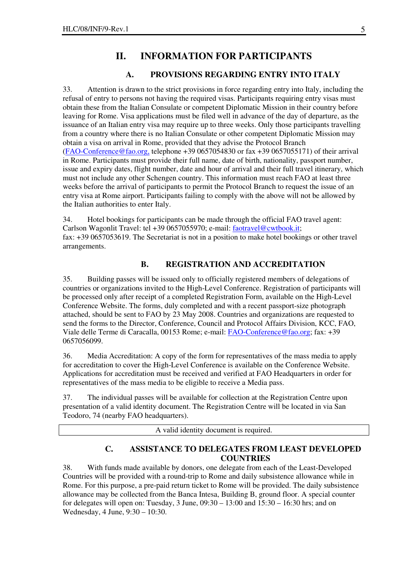## **II. INFORMATION FOR PARTICIPANTS**

#### **A. PROVISIONS REGARDING ENTRY INTO ITALY**

33. Attention is drawn to the strict provisions in force regarding entry into Italy, including the refusal of entry to persons not having the required visas. Participants requiring entry visas must obtain these from the Italian Consulate or competent Diplomatic Mission in their country before leaving for Rome. Visa applications must be filed well in advance of the day of departure, as the issuance of an Italian entry visa may require up to three weeks. Only those participants travelling from a country where there is no Italian Consulate or other competent Diplomatic Mission may obtain a visa on arrival in Rome, provided that they advise the Protocol Branch (FAO-Conference@fao.org, telephone +39 0657054830 or fax +39 0657055171) of their arrival in Rome. Participants must provide their full name, date of birth, nationality, passport number, issue and expiry dates, flight number, date and hour of arrival and their full travel itinerary, which must not include any other Schengen country. This information must reach FAO at least three weeks before the arrival of participants to permit the Protocol Branch to request the issue of an entry visa at Rome airport. Participants failing to comply with the above will not be allowed by the Italian authorities to enter Italy.

34. Hotel bookings for participants can be made through the official FAO travel agent: Carlson Wagonlit Travel: tel +39 0657055970; e-mail: faotravel@cwtbook.it; fax: +39 0657053619. The Secretariat is not in a position to make hotel bookings or other travel arrangements.

#### **B. REGISTRATION AND ACCREDITATION**

35. Building passes will be issued only to officially registered members of delegations of countries or organizations invited to the High-Level Conference. Registration of participants will be processed only after receipt of a completed Registration Form, available on the High-Level Conference Website. The forms, duly completed and with a recent passport-size photograph attached, should be sent to FAO by 23 May 2008. Countries and organizations are requested to send the forms to the Director, Conference, Council and Protocol Affairs Division, KCC, FAO, Viale delle Terme di Caracalla, 00153 Rome; e-mail: FAO-Conference@fao.org; fax: +39 0657056099.

36. Media Accreditation: A copy of the form for representatives of the mass media to apply for accreditation to cover the High-Level Conference is available on the Conference Website. Applications for accreditation must be received and verified at FAO Headquarters in order for representatives of the mass media to be eligible to receive a Media pass.

37. The individual passes will be available for collection at the Registration Centre upon presentation of a valid identity document. The Registration Centre will be located in via San Teodoro, 74 (nearby FAO headquarters).

A valid identity document is required.

#### **C. ASSISTANCE TO DELEGATES FROM LEAST DEVELOPED COUNTRIES**

38. With funds made available by donors, one delegate from each of the Least-Developed Countries will be provided with a round-trip to Rome and daily subsistence allowance while in Rome. For this purpose, a pre-paid return ticket to Rome will be provided. The daily subsistence allowance may be collected from the Banca Intesa, Building B, ground floor. A special counter for delegates will open on: Tuesday, 3 June, 09:30 – 13:00 and 15:30 – 16:30 hrs; and on Wednesday, 4 June, 9:30 – 10:30.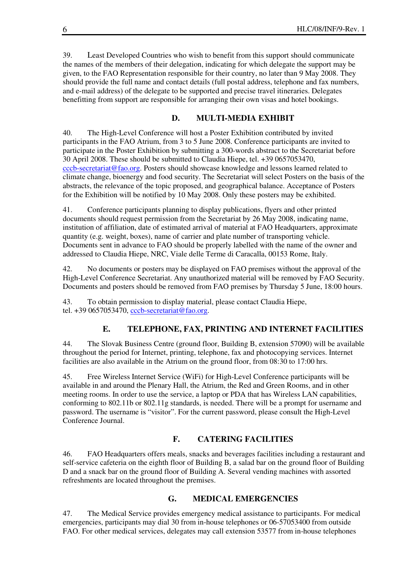39. Least Developed Countries who wish to benefit from this support should communicate the names of the members of their delegation, indicating for which delegate the support may be given, to the FAO Representation responsible for their country, no later than 9 May 2008. They should provide the full name and contact details (full postal address, telephone and fax numbers, and e-mail address) of the delegate to be supported and precise travel itineraries. Delegates benefitting from support are responsible for arranging their own visas and hotel bookings.

#### **D. MULTI-MEDIA EXHIBIT**

40. The High-Level Conference will host a Poster Exhibition contributed by invited participants in the FAO Atrium, from 3 to 5 June 2008. Conference participants are invited to participate in the Poster Exhibition by submitting a 300-words abstract to the Secretariat before 30 April 2008. These should be submitted to Claudia Hiepe, tel. +39 0657053470, cccb-secretariat@fao.org. Posters should showcase knowledge and lessons learned related to climate change, bioenergy and food security. The Secretariat will select Posters on the basis of the abstracts, the relevance of the topic proposed, and geographical balance. Acceptance of Posters for the Exhibition will be notified by 10 May 2008. Only these posters may be exhibited.

41. Conference participants planning to display publications, flyers and other printed documents should request permission from the Secretariat by 26 May 2008, indicating name, institution of affiliation, date of estimated arrival of material at FAO Headquarters, approximate quantity (e.g. weight, boxes), name of carrier and plate number of transporting vehicle. Documents sent in advance to FAO should be properly labelled with the name of the owner and addressed to Claudia Hiepe, NRC, Viale delle Terme di Caracalla, 00153 Rome, Italy.

42. No documents or posters may be displayed on FAO premises without the approval of the High-Level Conference Secretariat. Any unauthorized material will be removed by FAO Security. Documents and posters should be removed from FAO premises by Thursday 5 June, 18:00 hours.

43. To obtain permission to display material, please contact Claudia Hiepe, tel. +39 0657053470, cccb-secretariat@fao.org.

#### **E. TELEPHONE, FAX, PRINTING AND INTERNET FACILITIES**

44. The Slovak Business Centre (ground floor, Building B, extension 57090) will be available throughout the period for Internet, printing, telephone, fax and photocopying services. Internet facilities are also available in the Atrium on the ground floor, from 08:30 to 17:00 hrs.

45. Free Wireless Internet Service (WiFi) for High-Level Conference participants will be available in and around the Plenary Hall, the Atrium, the Red and Green Rooms, and in other meeting rooms. In order to use the service, a laptop or PDA that has Wireless LAN capabilities, conforming to 802.11b or 802.11g standards, is needed. There will be a prompt for username and password. The username is "visitor". For the current password, please consult the High-Level Conference Journal.

#### **F. CATERING FACILITIES**

46. FAO Headquarters offers meals, snacks and beverages facilities including a restaurant and self-service cafeteria on the eighth floor of Building B, a salad bar on the ground floor of Building D and a snack bar on the ground floor of Building A. Several vending machines with assorted refreshments are located throughout the premises.

#### **G. MEDICAL EMERGENCIES**

47. The Medical Service provides emergency medical assistance to participants. For medical emergencies, participants may dial 30 from in-house telephones or 06-57053400 from outside FAO. For other medical services, delegates may call extension 53577 from in-house telephones